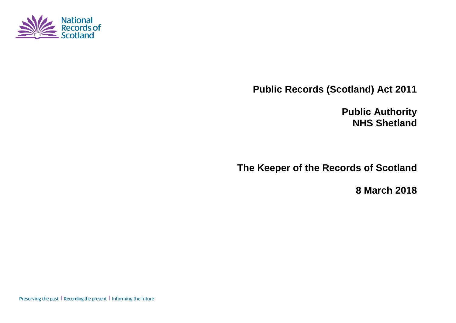

**Public Records (Scotland) Act 2011**

**Public Authority NHS Shetland**

**The Keeper of the Records of Scotland**

**8 March 2018**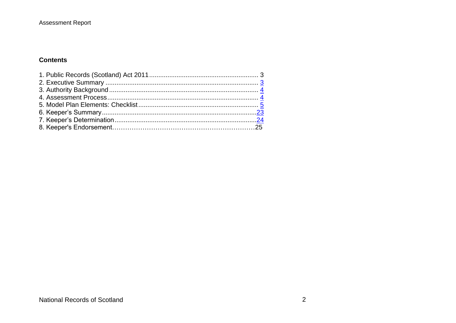#### **Assessment Report**

### **Contents**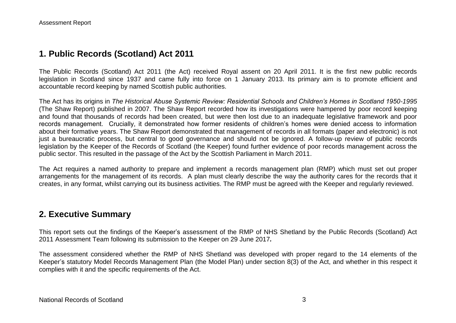### **1. Public Records (Scotland) Act 2011**

The Public Records (Scotland) Act 2011 (the Act) received Royal assent on 20 April 2011. It is the first new public records legislation in Scotland since 1937 and came fully into force on 1 January 2013. Its primary aim is to promote efficient and accountable record keeping by named Scottish public authorities.

The Act has its origins in *The Historical Abuse Systemic Review: Residential Schools and Children's Homes in Scotland 1950-1995* (The Shaw Report) published in 2007. The Shaw Report recorded how its investigations were hampered by poor record keeping and found that thousands of records had been created, but were then lost due to an inadequate legislative framework and poor records management. Crucially, it demonstrated how former residents of children's homes were denied access to information about their formative years. The Shaw Report demonstrated that management of records in all formats (paper and electronic) is not just a bureaucratic process, but central to good governance and should not be ignored. A follow-up review of public records legislation by the Keeper of the Records of Scotland (the Keeper) found further evidence of poor records management across the public sector. This resulted in the passage of the Act by the Scottish Parliament in March 2011.

The Act requires a named authority to prepare and implement a records management plan (RMP) which must set out proper arrangements for the management of its records. A plan must clearly describe the way the authority cares for the records that it creates, in any format, whilst carrying out its business activities. The RMP must be agreed with the Keeper and regularly reviewed.

### **2. Executive Summary**

This report sets out the findings of the Keeper's assessment of the RMP of NHS Shetland by the Public Records (Scotland) Act 2011 Assessment Team following its submission to the Keeper on 29 June 2017*.*

The assessment considered whether the RMP of NHS Shetland was developed with proper regard to the 14 elements of the Keeper's statutory Model Records Management Plan (the Model Plan) under section 8(3) of the Act, and whether in this respect it complies with it and the specific requirements of the Act.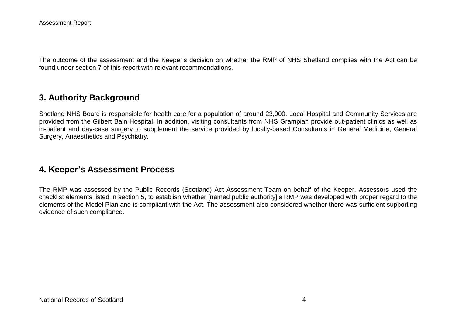The outcome of the assessment and the Keeper's decision on whether the RMP of NHS Shetland complies with the Act can be found under section 7 of this report with relevant recommendations.

## **3. Authority Background**

Shetland NHS Board is responsible for health care for a population of around 23,000. Local Hospital and Community Services are provided from the Gilbert Bain Hospital. In addition, visiting consultants from NHS Grampian provide out-patient clinics as well as in-patient and day-case surgery to supplement the service provided by locally-based Consultants in General Medicine, General Surgery, Anaesthetics and Psychiatry.

### **4. Keeper's Assessment Process**

The RMP was assessed by the Public Records (Scotland) Act Assessment Team on behalf of the Keeper. Assessors used the checklist elements listed in section 5, to establish whether [named public authority]'s RMP was developed with proper regard to the elements of the Model Plan and is compliant with the Act. The assessment also considered whether there was sufficient supporting evidence of such compliance.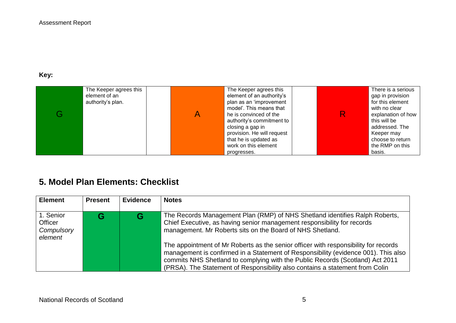# **Key:**

| The Keeper agrees this<br>element of an<br>authority's plan. | The Keeper agrees this<br>element of an authority's<br>plan as an 'improvement<br>model'. This means that<br>he is convinced of the<br>authority's commitment to<br>closing a gap in<br>provision. He will request<br>that he is updated as |  | There is a serious<br>gap in provision<br>for this element<br>with no clear<br>explanation of how<br>this will be<br>addressed. The<br>Keeper may<br>choose to return |
|--------------------------------------------------------------|---------------------------------------------------------------------------------------------------------------------------------------------------------------------------------------------------------------------------------------------|--|-----------------------------------------------------------------------------------------------------------------------------------------------------------------------|
|                                                              | work on this element<br>progresses.                                                                                                                                                                                                         |  | the RMP on this<br>basis.                                                                                                                                             |

# **5. Model Plan Elements: Checklist**

| <b>Element</b>                                       | <b>Present</b> | <b>Evidence</b> | <b>Notes</b>                                                                                                                                                                                                                                                                                                                                                                                                                                                                                                                                                      |
|------------------------------------------------------|----------------|-----------------|-------------------------------------------------------------------------------------------------------------------------------------------------------------------------------------------------------------------------------------------------------------------------------------------------------------------------------------------------------------------------------------------------------------------------------------------------------------------------------------------------------------------------------------------------------------------|
| 1. Senior<br><b>Officer</b><br>Compulsory<br>element |                |                 | The Records Management Plan (RMP) of NHS Shetland identifies Ralph Roberts,<br>Chief Executive, as having senior management responsibility for records<br>management. Mr Roberts sits on the Board of NHS Shetland.<br>The appointment of Mr Roberts as the senior officer with responsibility for records<br>management is confirmed in a Statement of Responsibility (evidence 001). This also<br>commits NHS Shetland to complying with the Public Records (Scotland) Act 2011<br>(PRSA). The Statement of Responsibility also contains a statement from Colin |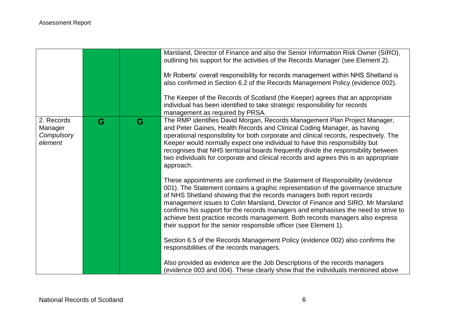|                                                |   |   | Marsland, Director of Finance and also the Senior Information Risk Owner (SIRO),<br>outlining his support for the activities of the Records Manager (see Element 2).<br>Mr Roberts' overall responsibility for records management within NHS Shetland is<br>also confirmed in Section 6.2 of the Records Management Policy (evidence 002).<br>The Keeper of the Records of Scotland (the Keeper) agrees that an appropriate<br>individual has been identified to take strategic responsibility for records                                                               |
|------------------------------------------------|---|---|--------------------------------------------------------------------------------------------------------------------------------------------------------------------------------------------------------------------------------------------------------------------------------------------------------------------------------------------------------------------------------------------------------------------------------------------------------------------------------------------------------------------------------------------------------------------------|
| 2. Records<br>Manager<br>Compulsory<br>element | G | G | management as required by PRSA.<br>The RMP identifies David Morgan, Records Management Plan Project Manager,<br>and Peter Gaines, Health Records and Clinical Coding Manager, as having<br>operational responsibility for both corporate and clinical records, respectively. The<br>Keeper would normally expect one individual to have this responsibility but<br>recognises that NHS territorial boards frequently divide the responsibility between<br>two individuals for corporate and clinical records and agrees this is an appropriate<br>approach.              |
|                                                |   |   | These appointments are confirmed in the Statement of Responsibility (evidence<br>001). The Statement contains a graphic representation of the governance structure<br>of NHS Shetland showing that the records managers both report records<br>management issues to Colin Marsland, Director of Finance and SIRO. Mr Marsland<br>confirms his support for the records managers and emphasises the need to strive to<br>achieve best practice records management. Both records managers also express<br>their support for the senior responsible officer (see Element 1). |
|                                                |   |   | Section 6.5 of the Records Management Policy (evidence 002) also confirms the<br>responsibilities of the records managers.<br>Also provided as evidence are the Job Descriptions of the records managers<br>(evidence 003 and 004). These clearly show that the individuals mentioned above                                                                                                                                                                                                                                                                              |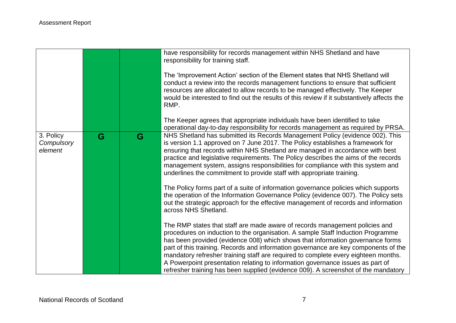|                                    |   |   | have responsibility for records management within NHS Shetland and have<br>responsibility for training staff.<br>The 'Improvement Action' section of the Element states that NHS Shetland will<br>conduct a review into the records management functions to ensure that sufficient<br>resources are allocated to allow records to be managed effectively. The Keeper<br>would be interested to find out the results of this review if it substantively affects the<br>RMP.                                                                                                                            |
|------------------------------------|---|---|-------------------------------------------------------------------------------------------------------------------------------------------------------------------------------------------------------------------------------------------------------------------------------------------------------------------------------------------------------------------------------------------------------------------------------------------------------------------------------------------------------------------------------------------------------------------------------------------------------|
|                                    |   |   | The Keeper agrees that appropriate individuals have been identified to take<br>operational day-to-day responsibility for records management as required by PRSA.                                                                                                                                                                                                                                                                                                                                                                                                                                      |
| 3. Policy<br>Compulsory<br>element | G | G | NHS Shetland has submitted its Records Management Policy (evidence 002). This<br>is version 1.1 approved on 7 June 2017. The Policy establishes a framework for<br>ensuring that records within NHS Shetland are managed in accordance with best<br>practice and legislative requirements. The Policy describes the aims of the records<br>management system, assigns responsibilities for compliance with this system and<br>underlines the commitment to provide staff with appropriate training.                                                                                                   |
|                                    |   |   | The Policy forms part of a suite of information governance policies which supports<br>the operation of the Information Governance Policy (evidence 007). The Policy sets<br>out the strategic approach for the effective management of records and information<br>across NHS Shetland.                                                                                                                                                                                                                                                                                                                |
|                                    |   |   | The RMP states that staff are made aware of records management policies and<br>procedures on induction to the organisation. A sample Staff Induction Programme<br>has been provided (evidence 008) which shows that information governance forms<br>part of this training. Records and information governance are key components of the<br>mandatory refresher training staff are required to complete every eighteen months.<br>A Powerpoint presentation relating to information governance issues as part of<br>refresher training has been supplied (evidence 009). A screenshot of the mandatory |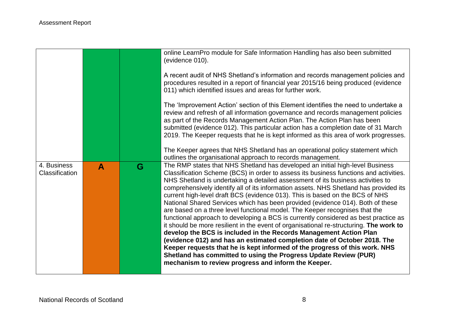|                                      |   |   | online LearnPro module for Safe Information Handling has also been submitted<br>(evidence 010).<br>A recent audit of NHS Shetland's information and records management policies and<br>procedures resulted in a report of financial year 2015/16 being produced (evidence<br>011) which identified issues and areas for further work.<br>The 'Improvement Action' section of this Element identifies the need to undertake a<br>review and refresh of all information governance and records management policies<br>as part of the Records Management Action Plan. The Action Plan has been<br>submitted (evidence 012). This particular action has a completion date of 31 March<br>2019. The Keeper requests that he is kept informed as this area of work progresses.                                                                                                                                                                                                                                                                                                                                                                       |
|--------------------------------------|---|---|------------------------------------------------------------------------------------------------------------------------------------------------------------------------------------------------------------------------------------------------------------------------------------------------------------------------------------------------------------------------------------------------------------------------------------------------------------------------------------------------------------------------------------------------------------------------------------------------------------------------------------------------------------------------------------------------------------------------------------------------------------------------------------------------------------------------------------------------------------------------------------------------------------------------------------------------------------------------------------------------------------------------------------------------------------------------------------------------------------------------------------------------|
|                                      |   |   | The Keeper agrees that NHS Shetland has an operational policy statement which<br>outlines the organisational approach to records management.                                                                                                                                                                                                                                                                                                                                                                                                                                                                                                                                                                                                                                                                                                                                                                                                                                                                                                                                                                                                   |
| 4. Business<br><b>Classification</b> | A | G | The RMP states that NHS Shetland has developed an initial high-level Business<br>Classification Scheme (BCS) in order to assess its business functions and activities.<br>NHS Shetland is undertaking a detailed assessment of its business activities to<br>comprehensively identify all of its information assets. NHS Shetland has provided its<br>current high-level draft BCS (evidence 013). This is based on the BCS of NHS<br>National Shared Services which has been provided (evidence 014). Both of these<br>are based on a three level functional model. The Keeper recognises that the<br>functional approach to developing a BCS is currently considered as best practice as<br>it should be more resilient in the event of organisational re-structuring. The work to<br>develop the BCS is included in the Records Management Action Plan<br>(evidence 012) and has an estimated completion date of October 2018. The<br>Keeper requests that he is kept informed of the progress of this work. NHS<br>Shetland has committed to using the Progress Update Review (PUR)<br>mechanism to review progress and inform the Keeper. |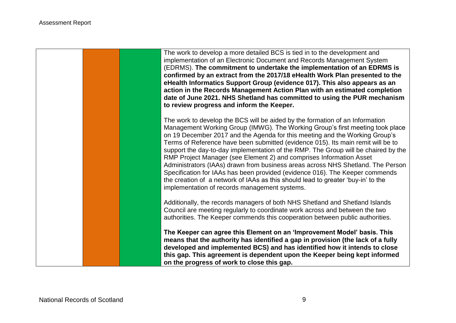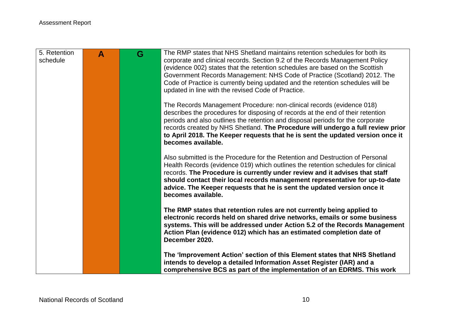| 5. Retention<br>schedule | A | G | The RMP states that NHS Shetland maintains retention schedules for both its<br>corporate and clinical records. Section 9.2 of the Records Management Policy<br>(evidence 002) states that the retention schedules are based on the Scottish<br>Government Records Management: NHS Code of Practice (Scotland) 2012. The<br>Code of Practice is currently being updated and the retention schedules will be<br>updated in line with the revised Code of Practice. |
|--------------------------|---|---|------------------------------------------------------------------------------------------------------------------------------------------------------------------------------------------------------------------------------------------------------------------------------------------------------------------------------------------------------------------------------------------------------------------------------------------------------------------|
|                          |   |   | The Records Management Procedure: non-clinical records (evidence 018)<br>describes the procedures for disposing of records at the end of their retention<br>periods and also outlines the retention and disposal periods for the corporate<br>records created by NHS Shetland. The Procedure will undergo a full review prior<br>to April 2018. The Keeper requests that he is sent the updated version once it<br>becomes available.                            |
|                          |   |   | Also submitted is the Procedure for the Retention and Destruction of Personal<br>Health Records (evidence 019) which outlines the retention schedules for clinical<br>records. The Procedure is currently under review and it advises that staff<br>should contact their local records management representative for up-to-date<br>advice. The Keeper requests that he is sent the updated version once it<br>becomes available.                                 |
|                          |   |   | The RMP states that retention rules are not currently being applied to<br>electronic records held on shared drive networks, emails or some business<br>systems. This will be addressed under Action 5.2 of the Records Management<br>Action Plan (evidence 012) which has an estimated completion date of<br>December 2020.                                                                                                                                      |
|                          |   |   | The 'Improvement Action' section of this Element states that NHS Shetland<br>intends to develop a detailed Information Asset Register (IAR) and a<br>comprehensive BCS as part of the implementation of an EDRMS. This work                                                                                                                                                                                                                                      |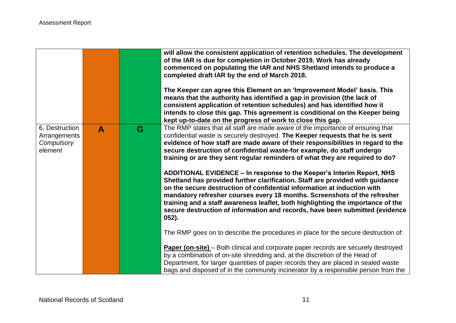|                                                         |   |   | will allow the consistent application of retention schedules. The development<br>of the IAR is due for completion in October 2019. Work has already<br>commenced on populating the IAR and NHS Shetland intends to produce a<br>completed draft IAR by the end of March 2018.<br>The Keeper can agree this Element on an 'Improvement Model' basis. This<br>means that the authority has identified a gap in provision (the lack of<br>consistent application of retention schedules) and has identified how it<br>intends to close this gap. This agreement is conditional on the Keeper being<br>kept up-to-date on the progress of work to close this gap. |
|---------------------------------------------------------|---|---|---------------------------------------------------------------------------------------------------------------------------------------------------------------------------------------------------------------------------------------------------------------------------------------------------------------------------------------------------------------------------------------------------------------------------------------------------------------------------------------------------------------------------------------------------------------------------------------------------------------------------------------------------------------|
| 6. Destruction<br>Arrangements<br>Compulsory<br>element | A | G | The RMP states that all staff are made aware of the importance of ensuring that<br>confidential waste is securely destroyed. The Keeper requests that he is sent<br>evidence of how staff are made aware of their responsibilities in regard to the<br>secure destruction of confidential waste-for example, do staff undergo<br>training or are they sent regular reminders of what they are required to do?                                                                                                                                                                                                                                                 |
|                                                         |   |   | ADDITIONAL EVIDENCE – In response to the Keeper's Interim Report, NHS<br>Shetland has provided further clarification. Staff are provided with guidance<br>on the secure destruction of confidential information at induction with<br>mandatory refresher courses every 18 months. Screenshots of the refresher<br>training and a staff awareness leaflet, both highlighting the importance of the<br>secure destruction of information and records, have been submitted (evidence<br>$052$ ).                                                                                                                                                                 |
|                                                         |   |   | The RMP goes on to describe the procedures in place for the secure destruction of:                                                                                                                                                                                                                                                                                                                                                                                                                                                                                                                                                                            |
|                                                         |   |   | Paper (on-site) - Both clinical and corporate paper records are securely destroyed<br>by a combination of on-site shredding and, at the discretion of the Head of<br>Department, for larger quantities of paper records they are placed in sealed waste<br>bags and disposed of in the community incinerator by a responsible person from the                                                                                                                                                                                                                                                                                                                 |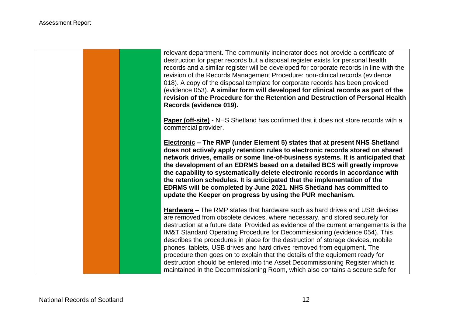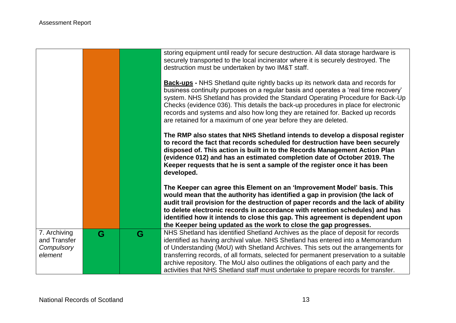|                                                       |   |   | storing equipment until ready for secure destruction. All data storage hardware is<br>securely transported to the local incinerator where it is securely destroyed. The<br>destruction must be undertaken by two IM&T staff.<br><b>Back-ups</b> - NHS Shetland quite rightly backs up its network data and records for<br>business continuity purposes on a regular basis and operates a 'real time recovery'<br>system. NHS Shetland has provided the Standard Operating Procedure for Back-Up<br>Checks (evidence 036). This details the back-up procedures in place for electronic<br>records and systems and also how long they are retained for. Backed up records<br>are retained for a maximum of one year before they are deleted. |
|-------------------------------------------------------|---|---|--------------------------------------------------------------------------------------------------------------------------------------------------------------------------------------------------------------------------------------------------------------------------------------------------------------------------------------------------------------------------------------------------------------------------------------------------------------------------------------------------------------------------------------------------------------------------------------------------------------------------------------------------------------------------------------------------------------------------------------------|
|                                                       |   |   | The RMP also states that NHS Shetland intends to develop a disposal register<br>to record the fact that records scheduled for destruction have been securely<br>disposed of. This action is built in to the Records Management Action Plan<br>(evidence 012) and has an estimated completion date of October 2019. The<br>Keeper requests that he is sent a sample of the register once it has been<br>developed.                                                                                                                                                                                                                                                                                                                          |
|                                                       |   |   | The Keeper can agree this Element on an 'Improvement Model' basis. This<br>would mean that the authority has identified a gap in provision (the lack of<br>audit trail provision for the destruction of paper records and the lack of ability<br>to delete electronic records in accordance with retention schedules) and has<br>identified how it intends to close this gap. This agreement is dependent upon<br>the Keeper being updated as the work to close the gap progresses.                                                                                                                                                                                                                                                        |
| 7. Archiving<br>and Transfer<br>Compulsory<br>element | G | G | NHS Shetland has identified Shetland Archives as the place of deposit for records<br>identified as having archival value. NHS Shetland has entered into a Memorandum<br>of Understanding (MoU) with Shetland Archives. This sets out the arrangements for<br>transferring records, of all formats, selected for permanent preservation to a suitable<br>archive repository. The MoU also outlines the obligations of each party and the<br>activities that NHS Shetland staff must undertake to prepare records for transfer.                                                                                                                                                                                                              |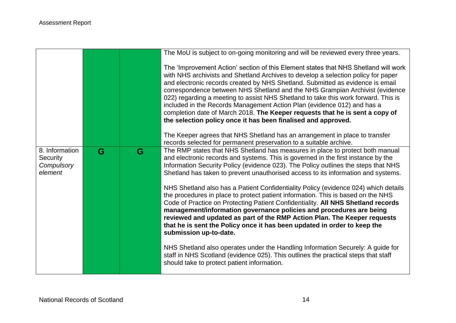|                                                     |   |   | The MoU is subject to on-going monitoring and will be reviewed every three years.                                                                                                                                                                                                                                                                                                                                                                                                                                                                                                                                                                                                                                                                                                                                                                                     |
|-----------------------------------------------------|---|---|-----------------------------------------------------------------------------------------------------------------------------------------------------------------------------------------------------------------------------------------------------------------------------------------------------------------------------------------------------------------------------------------------------------------------------------------------------------------------------------------------------------------------------------------------------------------------------------------------------------------------------------------------------------------------------------------------------------------------------------------------------------------------------------------------------------------------------------------------------------------------|
|                                                     |   |   | The 'Improvement Action' section of this Element states that NHS Shetland will work<br>with NHS archivists and Shetland Archives to develop a selection policy for paper<br>and electronic records created by NHS Shetland. Submitted as evidence is email<br>correspondence between NHS Shetland and the NHS Grampian Archivist (evidence<br>022) regarding a meeting to assist NHS Shetland to take this work forward. This is<br>included in the Records Management Action Plan (evidence 012) and has a<br>completion date of March 2018. The Keeper requests that he is sent a copy of<br>the selection policy once it has been finalised and approved.                                                                                                                                                                                                          |
|                                                     |   |   | The Keeper agrees that NHS Shetland has an arrangement in place to transfer<br>records selected for permanent preservation to a suitable archive.                                                                                                                                                                                                                                                                                                                                                                                                                                                                                                                                                                                                                                                                                                                     |
| 8. Information<br>Security<br>Compulsory<br>element | G | G | The RMP states that NHS Shetland has measures in place to protect both manual<br>and electronic records and systems. This is governed in the first instance by the<br>Information Security Policy (evidence 023). The Policy outlines the steps that NHS<br>Shetland has taken to prevent unauthorised access to its information and systems.<br>NHS Shetland also has a Patient Confidentiality Policy (evidence 024) which details<br>the procedures in place to protect patient information. This is based on the NHS<br>Code of Practice on Protecting Patient Confidentiality. All NHS Shetland records<br>management/information governance policies and procedures are being<br>reviewed and updated as part of the RMP Action Plan. The Keeper requests<br>that he is sent the Policy once it has been updated in order to keep the<br>submission up-to-date. |
|                                                     |   |   | NHS Shetland also operates under the Handling Information Securely: A guide for<br>staff in NHS Scotland (evidence 025). This outlines the practical steps that staff<br>should take to protect patient information.                                                                                                                                                                                                                                                                                                                                                                                                                                                                                                                                                                                                                                                  |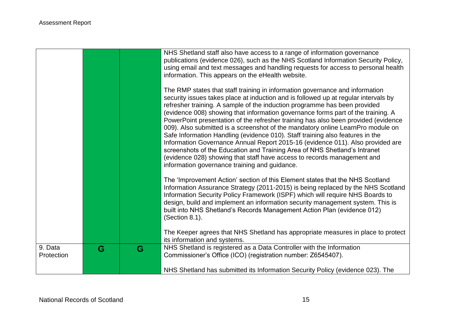|            |   |   | NHS Shetland staff also have access to a range of information governance<br>publications (evidence 026), such as the NHS Scotland Information Security Policy,<br>using email and text messages and handling requests for access to personal health<br>information. This appears on the eHealth website.<br>The RMP states that staff training in information governance and information<br>security issues takes place at induction and is followed up at regular intervals by<br>refresher training. A sample of the induction programme has been provided<br>(evidence 008) showing that information governance forms part of the training. A<br>PowerPoint presentation of the refresher training has also been provided (evidence<br>009). Also submitted is a screenshot of the mandatory online LearnPro module on<br>Safe Information Handling (evidence 010). Staff training also features in the<br>Information Governance Annual Report 2015-16 (evidence 011). Also provided are<br>screenshots of the Education and Training Area of NHS Shetland's Intranet<br>(evidence 028) showing that staff have access to records management and<br>information governance training and guidance. |
|------------|---|---|-------------------------------------------------------------------------------------------------------------------------------------------------------------------------------------------------------------------------------------------------------------------------------------------------------------------------------------------------------------------------------------------------------------------------------------------------------------------------------------------------------------------------------------------------------------------------------------------------------------------------------------------------------------------------------------------------------------------------------------------------------------------------------------------------------------------------------------------------------------------------------------------------------------------------------------------------------------------------------------------------------------------------------------------------------------------------------------------------------------------------------------------------------------------------------------------------------|
|            |   |   | The 'Improvement Action' section of this Element states that the NHS Scotland<br>Information Assurance Strategy (2011-2015) is being replaced by the NHS Scotland<br>Information Security Policy Framework (ISPF) which will require NHS Boards to<br>design, build and implement an information security management system. This is<br>built into NHS Shetland's Records Management Action Plan (evidence 012)<br>(Section 8.1).<br>The Keeper agrees that NHS Shetland has appropriate measures in place to protect<br>its information and systems.                                                                                                                                                                                                                                                                                                                                                                                                                                                                                                                                                                                                                                                 |
| 9. Data    | G | G | NHS Shetland is registered as a Data Controller with the Information                                                                                                                                                                                                                                                                                                                                                                                                                                                                                                                                                                                                                                                                                                                                                                                                                                                                                                                                                                                                                                                                                                                                  |
| Protection |   |   | Commissioner's Office (ICO) (registration number: Z6545407).                                                                                                                                                                                                                                                                                                                                                                                                                                                                                                                                                                                                                                                                                                                                                                                                                                                                                                                                                                                                                                                                                                                                          |
|            |   |   | NHS Shetland has submitted its Information Security Policy (evidence 023). The                                                                                                                                                                                                                                                                                                                                                                                                                                                                                                                                                                                                                                                                                                                                                                                                                                                                                                                                                                                                                                                                                                                        |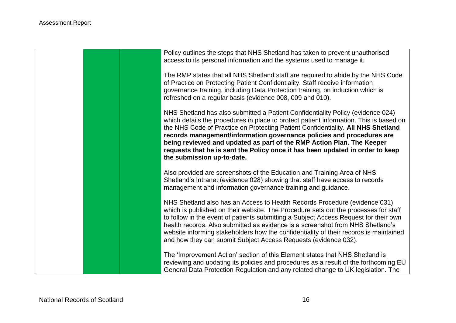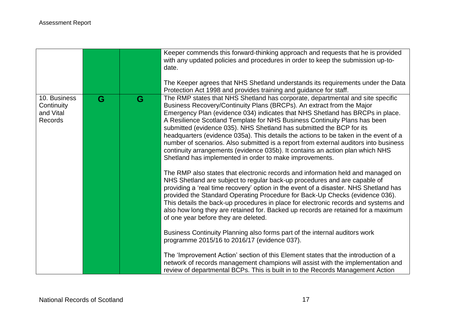|                                                    |   |   | Keeper commends this forward-thinking approach and requests that he is provided<br>with any updated policies and procedures in order to keep the submission up-to-<br>date.<br>The Keeper agrees that NHS Shetland understands its requirements under the Data<br>Protection Act 1998 and provides training and guidance for staff.                                                                                                                                                                                                                                                                                                                                                                                       |
|----------------------------------------------------|---|---|---------------------------------------------------------------------------------------------------------------------------------------------------------------------------------------------------------------------------------------------------------------------------------------------------------------------------------------------------------------------------------------------------------------------------------------------------------------------------------------------------------------------------------------------------------------------------------------------------------------------------------------------------------------------------------------------------------------------------|
| 10. Business<br>Continuity<br>and Vital<br>Records | G | G | The RMP states that NHS Shetland has corporate, departmental and site specific<br>Business Recovery/Continuity Plans (BRCPs). An extract from the Major<br>Emergency Plan (evidence 034) indicates that NHS Shetland has BRCPs in place.<br>A Resilience Scotland Template for NHS Business Continuity Plans has been<br>submitted (evidence 035). NHS Shetland has submitted the BCP for its<br>headquarters (evidence 035a). This details the actions to be taken in the event of a<br>number of scenarios. Also submitted is a report from external auditors into business<br>continuity arrangements (evidence 035b). It contains an action plan which NHS<br>Shetland has implemented in order to make improvements. |
|                                                    |   |   | The RMP also states that electronic records and information held and managed on<br>NHS Shetland are subject to regular back-up procedures and are capable of<br>providing a 'real time recovery' option in the event of a disaster. NHS Shetland has<br>provided the Standard Operating Procedure for Back-Up Checks (evidence 036).<br>This details the back-up procedures in place for electronic records and systems and<br>also how long they are retained for. Backed up records are retained for a maximum<br>of one year before they are deleted.                                                                                                                                                                  |
|                                                    |   |   | Business Continuity Planning also forms part of the internal auditors work<br>programme 2015/16 to 2016/17 (evidence 037).                                                                                                                                                                                                                                                                                                                                                                                                                                                                                                                                                                                                |
|                                                    |   |   | The 'Improvement Action' section of this Element states that the introduction of a<br>network of records management champions will assist with the implementation and<br>review of departmental BCPs. This is built in to the Records Management Action                                                                                                                                                                                                                                                                                                                                                                                                                                                                   |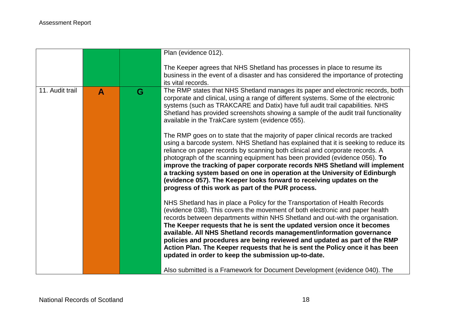|                 |              |   | Plan (evidence 012).                                                                                                                                                                                                                                                                                                                                                                                                                                                                                                                                                                                                           |
|-----------------|--------------|---|--------------------------------------------------------------------------------------------------------------------------------------------------------------------------------------------------------------------------------------------------------------------------------------------------------------------------------------------------------------------------------------------------------------------------------------------------------------------------------------------------------------------------------------------------------------------------------------------------------------------------------|
|                 |              |   | The Keeper agrees that NHS Shetland has processes in place to resume its<br>business in the event of a disaster and has considered the importance of protecting<br>its vital records.                                                                                                                                                                                                                                                                                                                                                                                                                                          |
| 11. Audit trail | $\mathbf{A}$ | G | The RMP states that NHS Shetland manages its paper and electronic records, both<br>corporate and clinical, using a range of different systems. Some of the electronic<br>systems (such as TRAKCARE and Datix) have full audit trail capabilities. NHS<br>Shetland has provided screenshots showing a sample of the audit trail functionality<br>available in the TrakCare system (evidence 055).                                                                                                                                                                                                                               |
|                 |              |   | The RMP goes on to state that the majority of paper clinical records are tracked<br>using a barcode system. NHS Shetland has explained that it is seeking to reduce its<br>reliance on paper records by scanning both clinical and corporate records. A<br>photograph of the scanning equipment has been provided (evidence 056). To<br>improve the tracking of paper corporate records NHS Shetland will implement<br>a tracking system based on one in operation at the University of Edinburgh<br>(evidence 057). The Keeper looks forward to receiving updates on the<br>progress of this work as part of the PUR process. |
|                 |              |   | NHS Shetland has in place a Policy for the Transportation of Health Records<br>(evidence 038). This covers the movement of both electronic and paper health<br>records between departments within NHS Shetland and out-with the organisation.<br>The Keeper requests that he is sent the updated version once it becomes<br>available. All NHS Shetland records management/information governance<br>policies and procedures are being reviewed and updated as part of the RMP<br>Action Plan. The Keeper requests that he is sent the Policy once it has been<br>updated in order to keep the submission up-to-date.          |
|                 |              |   | Also submitted is a Framework for Document Development (evidence 040). The                                                                                                                                                                                                                                                                                                                                                                                                                                                                                                                                                     |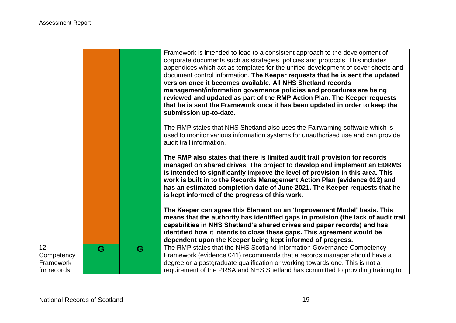|                  |   |   | Framework is intended to lead to a consistent approach to the development of<br>corporate documents such as strategies, policies and protocols. This includes<br>appendices which act as templates for the unified development of cover sheets and<br>document control information. The Keeper requests that he is sent the updated<br>version once it becomes available. All NHS Shetland records<br>management/information governance policies and procedures are being<br>reviewed and updated as part of the RMP Action Plan. The Keeper requests<br>that he is sent the Framework once it has been updated in order to keep the |
|------------------|---|---|--------------------------------------------------------------------------------------------------------------------------------------------------------------------------------------------------------------------------------------------------------------------------------------------------------------------------------------------------------------------------------------------------------------------------------------------------------------------------------------------------------------------------------------------------------------------------------------------------------------------------------------|
|                  |   |   | submission up-to-date.                                                                                                                                                                                                                                                                                                                                                                                                                                                                                                                                                                                                               |
|                  |   |   | The RMP states that NHS Shetland also uses the Fairwarning software which is<br>used to monitor various information systems for unauthorised use and can provide<br>audit trail information.                                                                                                                                                                                                                                                                                                                                                                                                                                         |
|                  |   |   | The RMP also states that there is limited audit trail provision for records<br>managed on shared drives. The project to develop and implement an EDRMS<br>is intended to significantly improve the level of provision in this area. This<br>work is built in to the Records Management Action Plan (evidence 012) and<br>has an estimated completion date of June 2021. The Keeper requests that he<br>is kept informed of the progress of this work.                                                                                                                                                                                |
|                  |   |   | The Keeper can agree this Element on an 'Improvement Model' basis. This<br>means that the authority has identified gaps in provision (the lack of audit trail<br>capabilities in NHS Shetland's shared drives and paper records) and has<br>identified how it intends to close these gaps. This agreement would be<br>dependent upon the Keeper being kept informed of progress.                                                                                                                                                                                                                                                     |
| 12.              | G | G | The RMP states that the NHS Scotland Information Governance Competency                                                                                                                                                                                                                                                                                                                                                                                                                                                                                                                                                               |
| Competency       |   |   | Framework (evidence 041) recommends that a records manager should have a                                                                                                                                                                                                                                                                                                                                                                                                                                                                                                                                                             |
| <b>Framework</b> |   |   | degree or a postgraduate qualification or working towards one. This is not a                                                                                                                                                                                                                                                                                                                                                                                                                                                                                                                                                         |
| for records      |   |   | requirement of the PRSA and NHS Shetland has committed to providing training to                                                                                                                                                                                                                                                                                                                                                                                                                                                                                                                                                      |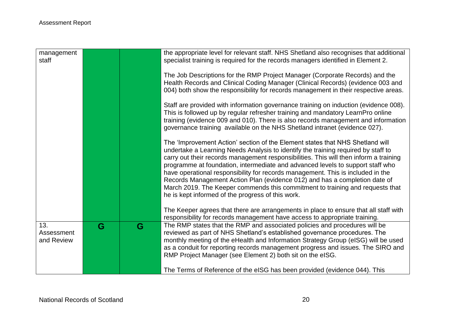| management<br>staff             |   |   | the appropriate level for relevant staff. NHS Shetland also recognises that additional<br>specialist training is required for the records managers identified in Element 2.<br>The Job Descriptions for the RMP Project Manager (Corporate Records) and the<br>Health Records and Clinical Coding Manager (Clinical Records) (evidence 003 and<br>004) both show the responsibility for records management in their respective areas.                                                                                                                                                                                                                                                                                                        |
|---------------------------------|---|---|----------------------------------------------------------------------------------------------------------------------------------------------------------------------------------------------------------------------------------------------------------------------------------------------------------------------------------------------------------------------------------------------------------------------------------------------------------------------------------------------------------------------------------------------------------------------------------------------------------------------------------------------------------------------------------------------------------------------------------------------|
|                                 |   |   | Staff are provided with information governance training on induction (evidence 008).<br>This is followed up by regular refresher training and mandatory LearnPro online<br>training (evidence 009 and 010). There is also records management and information<br>governance training available on the NHS Shetland intranet (evidence 027).                                                                                                                                                                                                                                                                                                                                                                                                   |
|                                 |   |   | The 'Improvement Action' section of the Element states that NHS Shetland will<br>undertake a Learning Needs Analysis to identify the training required by staff to<br>carry out their records management responsibilities. This will then inform a training<br>programme at foundation, intermediate and advanced levels to support staff who<br>have operational responsibility for records management. This is included in the<br>Records Management Action Plan (evidence 012) and has a completion date of<br>March 2019. The Keeper commends this commitment to training and requests that<br>he is kept informed of the progress of this work.<br>The Keeper agrees that there are arrangements in place to ensure that all staff with |
|                                 |   |   | responsibility for records management have access to appropriate training.                                                                                                                                                                                                                                                                                                                                                                                                                                                                                                                                                                                                                                                                   |
| 13.<br>Assessment<br>and Review | G | G | The RMP states that the RMP and associated policies and procedures will be<br>reviewed as part of NHS Shetland's established governance procedures. The<br>monthly meeting of the eHealth and Information Strategy Group (eISG) will be used<br>as a conduit for reporting records management progress and issues. The SIRO and<br>RMP Project Manager (see Element 2) both sit on the eISG.                                                                                                                                                                                                                                                                                                                                                 |
|                                 |   |   | The Terms of Reference of the eISG has been provided (evidence 044). This                                                                                                                                                                                                                                                                                                                                                                                                                                                                                                                                                                                                                                                                    |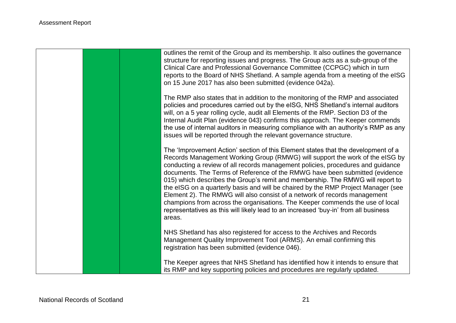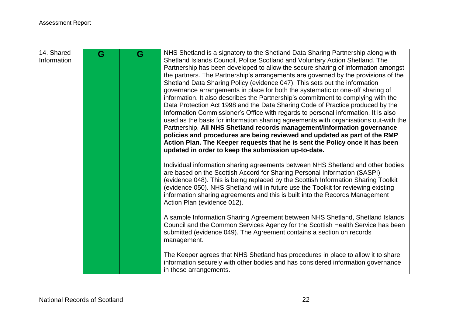| 14. Shared<br>Information | G | G | NHS Shetland is a signatory to the Shetland Data Sharing Partnership along with<br>Shetland Islands Council, Police Scotland and Voluntary Action Shetland. The<br>Partnership has been developed to allow the secure sharing of information amongst<br>the partners. The Partnership's arrangements are governed by the provisions of the<br>Shetland Data Sharing Policy (evidence 047). This sets out the information<br>governance arrangements in place for both the systematic or one-off sharing of<br>information. It also describes the Partnership's commitment to complying with the<br>Data Protection Act 1998 and the Data Sharing Code of Practice produced by the<br>Information Commissioner's Office with regards to personal information. It is also<br>used as the basis for information sharing agreements with organisations out-with the<br>Partnership. All NHS Shetland records management/information governance<br>policies and procedures are being reviewed and updated as part of the RMP<br>Action Plan. The Keeper requests that he is sent the Policy once it has been<br>updated in order to keep the submission up-to-date. |
|---------------------------|---|---|----------------------------------------------------------------------------------------------------------------------------------------------------------------------------------------------------------------------------------------------------------------------------------------------------------------------------------------------------------------------------------------------------------------------------------------------------------------------------------------------------------------------------------------------------------------------------------------------------------------------------------------------------------------------------------------------------------------------------------------------------------------------------------------------------------------------------------------------------------------------------------------------------------------------------------------------------------------------------------------------------------------------------------------------------------------------------------------------------------------------------------------------------------------|
|                           |   |   | Individual information sharing agreements between NHS Shetland and other bodies<br>are based on the Scottish Accord for Sharing Personal Information (SASPI)<br>(evidence 048). This is being replaced by the Scottish Information Sharing Toolkit<br>(evidence 050). NHS Shetland will in future use the Toolkit for reviewing existing<br>information sharing agreements and this is built into the Records Management<br>Action Plan (evidence 012).                                                                                                                                                                                                                                                                                                                                                                                                                                                                                                                                                                                                                                                                                                        |
|                           |   |   | A sample Information Sharing Agreement between NHS Shetland, Shetland Islands<br>Council and the Common Services Agency for the Scottish Health Service has been<br>submitted (evidence 049). The Agreement contains a section on records<br>management.                                                                                                                                                                                                                                                                                                                                                                                                                                                                                                                                                                                                                                                                                                                                                                                                                                                                                                       |
|                           |   |   | The Keeper agrees that NHS Shetland has procedures in place to allow it to share<br>information securely with other bodies and has considered information governance<br>in these arrangements.                                                                                                                                                                                                                                                                                                                                                                                                                                                                                                                                                                                                                                                                                                                                                                                                                                                                                                                                                                 |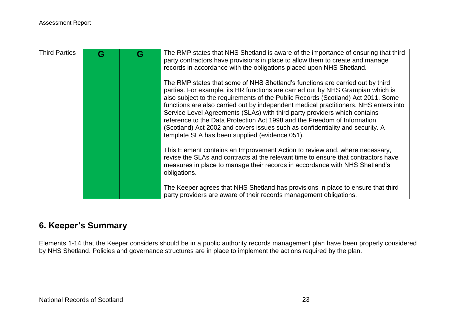| <b>Third Parties</b> | G | The RMP states that NHS Shetland is aware of the importance of ensuring that third<br>party contractors have provisions in place to allow them to create and manage<br>records in accordance with the obligations placed upon NHS Shetland.                                                                                                                                                                                                                                                                                                                                                                                              |
|----------------------|---|------------------------------------------------------------------------------------------------------------------------------------------------------------------------------------------------------------------------------------------------------------------------------------------------------------------------------------------------------------------------------------------------------------------------------------------------------------------------------------------------------------------------------------------------------------------------------------------------------------------------------------------|
|                      |   | The RMP states that some of NHS Shetland's functions are carried out by third<br>parties. For example, its HR functions are carried out by NHS Grampian which is<br>also subject to the requirements of the Public Records (Scotland) Act 2011. Some<br>functions are also carried out by independent medical practitioners. NHS enters into<br>Service Level Agreements (SLAs) with third party providers which contains<br>reference to the Data Protection Act 1998 and the Freedom of Information<br>(Scotland) Act 2002 and covers issues such as confidentiality and security. A<br>template SLA has been supplied (evidence 051). |
|                      |   | This Element contains an Improvement Action to review and, where necessary,<br>revise the SLAs and contracts at the relevant time to ensure that contractors have<br>measures in place to manage their records in accordance with NHS Shetland's<br>obligations.                                                                                                                                                                                                                                                                                                                                                                         |
|                      |   | The Keeper agrees that NHS Shetland has provisions in place to ensure that third<br>party providers are aware of their records management obligations.                                                                                                                                                                                                                                                                                                                                                                                                                                                                                   |

# **6. Keeper's Summary**

Elements 1-14 that the Keeper considers should be in a public authority records management plan have been properly considered by NHS Shetland. Policies and governance structures are in place to implement the actions required by the plan.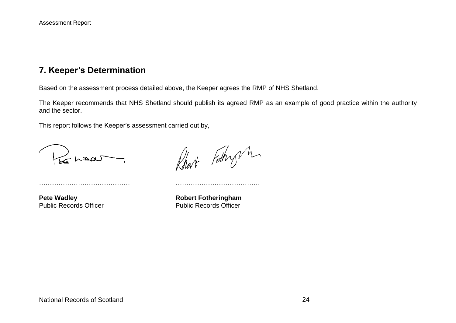## **7. Keeper's Determination**

Based on the assessment process detailed above, the Keeper agrees the RMP of NHS Shetland.

The Keeper recommends that NHS Shetland should publish its agreed RMP as an example of good practice within the authority and the sector.

This report follows the Keeper's assessment carried out by,

…………………………………… …………………………………

be waar

Robert Fathry m

**Pete Wadley Robert Fotheringham** Public Records Officer **Public Records Officer**